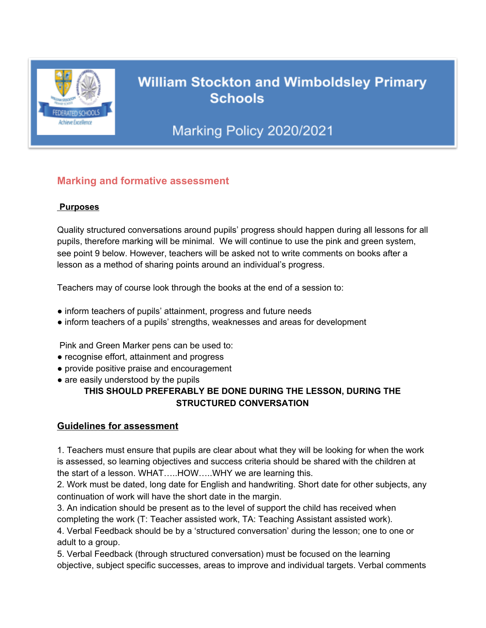

# **William Stockton and Wimboldsley Primary Schools**

# Marking Policy 2020/2021

## **Marking and formative assessment**

#### **Purposes**

Quality structured conversations around pupils' progress should happen during all lessons for all pupils, therefore marking will be minimal. We will continue to use the pink and green system, see point 9 below. However, teachers will be asked not to write comments on books after a lesson as a method of sharing points around an individual's progress.

Teachers may of course look through the books at the end of a session to:

- inform teachers of pupils' attainment, progress and future needs
- inform teachers of a pupils' strengths, weaknesses and areas for development

Pink and Green Marker pens can be used to:

- recognise effort, attainment and progress
- provide positive praise and encouragement
- are easily understood by the pupils

#### **THIS SHOULD PREFERABLY BE DONE DURING THE LESSON, DURING THE STRUCTURED CONVERSATION**

### **Guidelines for assessment**

1. Teachers must ensure that pupils are clear about what they will be looking for when the work is assessed, so learning objectives and success criteria should be shared with the children at the start of a lesson. WHAT…..HOW…..WHY we are learning this.

2. Work must be dated, long date for English and handwriting. Short date for other subjects, any continuation of work will have the short date in the margin.

3. An indication should be present as to the level of support the child has received when completing the work (T: Teacher assisted work, TA: Teaching Assistant assisted work).

4. Verbal Feedback should be by a 'structured conversation' during the lesson; one to one or adult to a group.

5. Verbal Feedback (through structured conversation) must be focused on the learning objective, subject specific successes, areas to improve and individual targets. Verbal comments